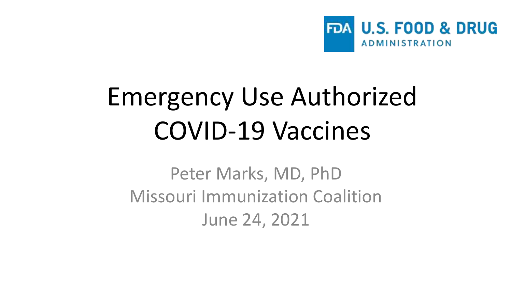

#### Emergency Use Authorized COVID-19 Vaccines

Peter Marks, MD, PhD Missouri Immunization Coalition June 24, 2021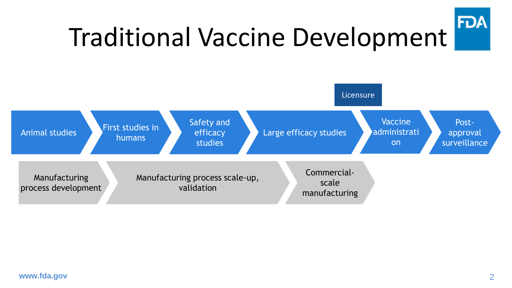

#### Traditional Vaccine Development

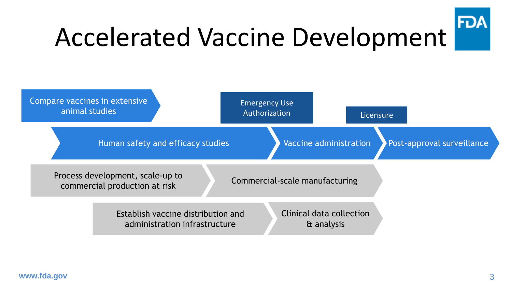

#### Accelerated Vaccine Development

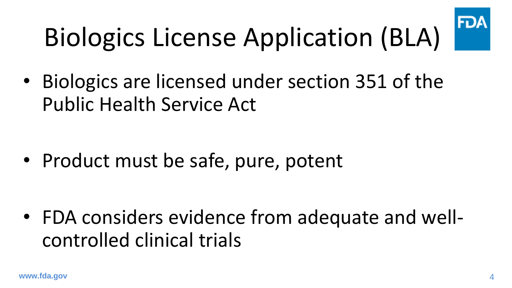

# Biologics License Application (BLA)

• Biologics are licensed under section 351 of the Public Health Service Act

• Product must be safe, pure, potent

• FDA considers evidence from adequate and wellcontrolled clinical trials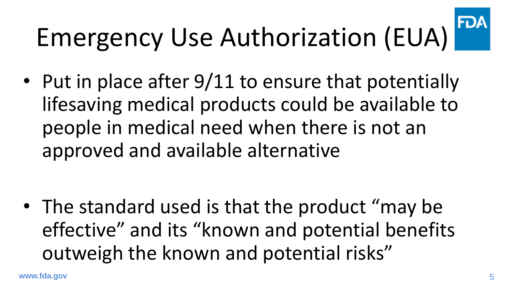#### FDA Emergency Use Authorization (EUA)

• Put in place after 9/11 to ensure that potentially lifesaving medical products could be available to people in medical need when there is not an approved and available alternative

• The standard used is that the product "may be effective" and its "known and potential benefits outweigh the known and potential risks"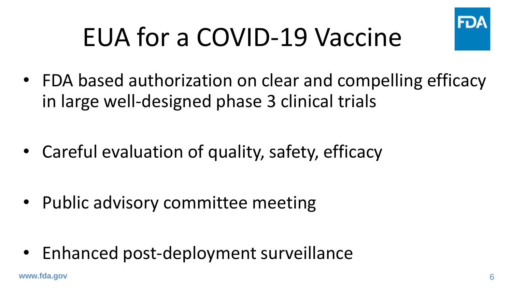

## EUA for a COVID-19 Vaccine

• FDA based authorization on clear and compelling efficacy in large well-designed phase 3 clinical trials

• Careful evaluation of quality, safety, efficacy

• Public advisory committee meeting

• Enhanced post-deployment surveillance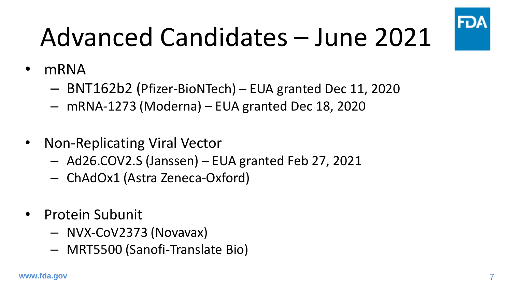

# Advanced Candidates – June 2021

- mRNA
	- BNT162b2 (Pfizer-BioNTech) EUA granted Dec 11, 2020
	- mRNA-1273 (Moderna) EUA granted Dec 18, 2020
- Non-Replicating Viral Vector
	- Ad26.COV2.S (Janssen) EUA granted Feb 27, 2021
	- ChAdOx1 (Astra Zeneca-Oxford)
- Protein Subunit
	- NVX-CoV2373 (Novavax)
	- MRT5500 (Sanofi-Translate Bio)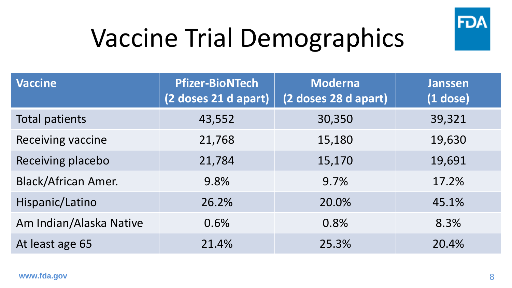

## Vaccine Trial Demographics

| <b>Vaccine</b>             | <b>Pfizer-BioNTech</b><br>(2 doses 21 d apart) | <b>Moderna</b><br>(2 doses 28 d apart) | <b>Janssen</b><br>$(1$ dose) |
|----------------------------|------------------------------------------------|----------------------------------------|------------------------------|
| <b>Total patients</b>      | 43,552                                         | 30,350                                 | 39,321                       |
| Receiving vaccine          | 21,768                                         | 15,180                                 | 19,630                       |
| Receiving placebo          | 21,784                                         | 15,170                                 | 19,691                       |
| <b>Black/African Amer.</b> | 9.8%                                           | 9.7%                                   | 17.2%                        |
| Hispanic/Latino            | 26.2%                                          | 20.0%                                  | 45.1%                        |
| Am Indian/Alaska Native    | 0.6%                                           | 0.8%                                   | 8.3%                         |
| At least age 65            | 21.4%                                          | 25.3%                                  | 20.4%                        |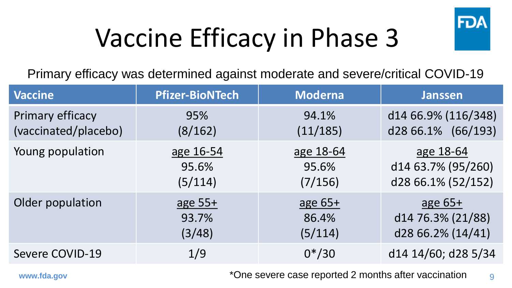

## Vaccine Efficacy in Phase 3

Primary efficacy was determined against moderate and severe/critical COVID-19

| <b>Vaccine</b>       | <b>Pfizer-BioNTech</b> | <b>Moderna</b> | <b>Janssen</b>      |
|----------------------|------------------------|----------------|---------------------|
| Primary efficacy     | 95%                    | 94.1%          | d14 66.9% (116/348) |
| (vaccinated/placebo) | (8/162)                | (11/185)       | d28 66.1% (66/193)  |
| Young population     | age 16-54              | age 18-64      | age 18-64           |
|                      | 95.6%                  | 95.6%          | d14 63.7% (95/260)  |
|                      | (5/114)                | (7/156)        | d28 66.1% (52/152)  |
| Older population     | age $55+$              | age $65+$      | age $65+$           |
|                      | 93.7%                  | 86.4%          | d14 76.3% (21/88)   |
|                      | (3/48)                 | (5/114)        | d28 66.2% (14/41)   |
| Severe COVID-19      | 1/9                    | $0*/30$        | d14 14/60; d28 5/34 |

9 **www.fda.gov** \* One severe case reported 2 months after vaccination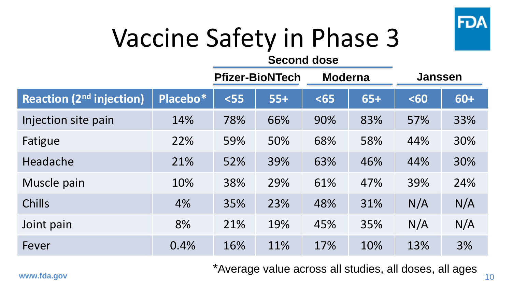

#### Vaccine Safety in Phase 3

#### **Second dose**

|                                 |          | <b>Pfizer-BioNTech</b> |       | <b>Moderna</b> |       | <b>Janssen</b> |       |
|---------------------------------|----------|------------------------|-------|----------------|-------|----------------|-------|
| <b>Reaction (2nd injection)</b> | Placebo* | $55$                   | $55+$ | $65$           | $65+$ | $60$           | $60+$ |
| Injection site pain             | 14%      | 78%                    | 66%   | 90%            | 83%   | 57%            | 33%   |
| Fatigue                         | 22%      | 59%                    | 50%   | 68%            | 58%   | 44%            | 30%   |
| Headache                        | 21%      | 52%                    | 39%   | 63%            | 46%   | 44%            | 30%   |
| Muscle pain                     | 10%      | 38%                    | 29%   | 61%            | 47%   | 39%            | 24%   |
| <b>Chills</b>                   | 4%       | 35%                    | 23%   | 48%            | 31%   | N/A            | N/A   |
| Joint pain                      | 8%       | 21%                    | 19%   | 45%            | 35%   | N/A            | N/A   |
| Fever                           | 0.4%     | 16%                    | 11%   | 17%            | 10%   | 13%            | 3%    |

\*Average value across all studies, all doses, all ages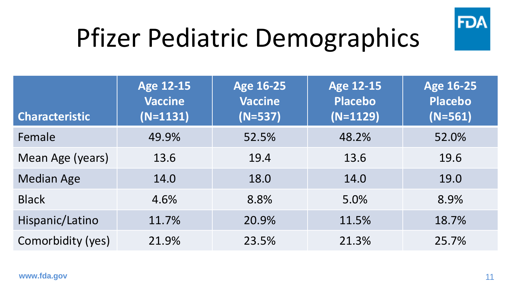

## Pfizer Pediatric Demographics

| <b>Characteristic</b> | <b>Age 12-15</b><br><b>Vaccine</b><br>$(N=1131)$ | <b>Age 16-25</b><br><b>Vaccine</b><br>$(N=537)$ | <b>Age 12-15</b><br><b>Placebo</b><br>$(N=1129)$ | <b>Age 16-25</b><br>Placebo<br>$(N=561)$ |
|-----------------------|--------------------------------------------------|-------------------------------------------------|--------------------------------------------------|------------------------------------------|
| Female                | 49.9%                                            | 52.5%                                           | 48.2%                                            | 52.0%                                    |
| Mean Age (years)      | 13.6                                             | 19.4                                            | 13.6                                             | 19.6                                     |
| <b>Median Age</b>     | 14.0                                             | 18.0                                            | 14.0                                             | 19.0                                     |
| <b>Black</b>          | 4.6%                                             | 8.8%                                            | 5.0%                                             | 8.9%                                     |
| Hispanic/Latino       | 11.7%                                            | 20.9%                                           | 11.5%                                            | 18.7%                                    |
| Comorbidity (yes)     | 21.9%                                            | 23.5%                                           | 21.3%                                            | 25.7%                                    |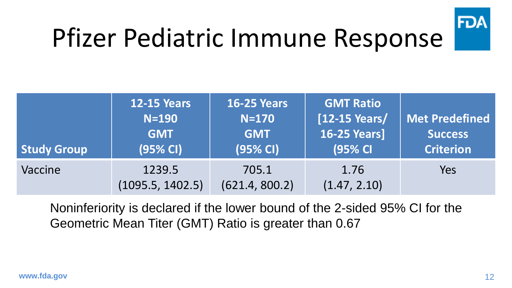

#### Pfizer Pediatric Immune Response

| <b>Study Group</b> | <b>12-15 Years</b><br>$N=190$<br><b>GMT</b><br>(95% CI) | <b>16-25 Years</b><br>$N=170$<br><b>GMT</b><br>$(95% Cl)$ | <b>GMT Ratio</b><br>[12-15 Years/<br><b>16-25 Years]</b><br>(95% CI | Met Predefined<br><b>Success</b><br><b>Criterion</b> |
|--------------------|---------------------------------------------------------|-----------------------------------------------------------|---------------------------------------------------------------------|------------------------------------------------------|
| Vaccine            | 1239.5<br>(1095.5, 1402.5)                              | 705.1<br>(621.4, 800.2)                                   | 1.76<br>(1.47, 2.10)                                                | Yes                                                  |

Noninferiority is declared if the lower bound of the 2-sided 95% CI for the Geometric Mean Titer (GMT) Ratio is greater than 0.67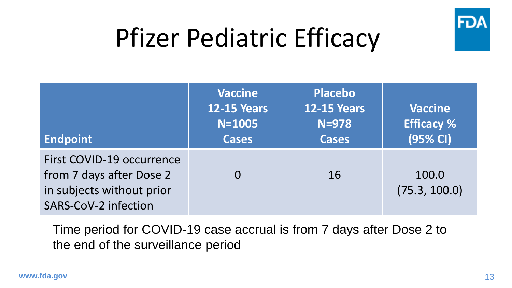

#### Pfizer Pediatric Efficacy

| <b>Endpoint</b>                                                                                            | <b>Vaccine</b><br><b>12-15 Years</b><br>$N = 1005$<br><b>Cases</b> | <b>Placebo</b><br><b>12-15 Years</b><br>$N=978$<br><b>Cases</b> | <b>Vaccine</b><br><b>Efficacy %</b><br>(95% CI) |
|------------------------------------------------------------------------------------------------------------|--------------------------------------------------------------------|-----------------------------------------------------------------|-------------------------------------------------|
| First COVID-19 occurrence<br>from 7 days after Dose 2<br>in subjects without prior<br>SARS-CoV-2 infection |                                                                    | 16                                                              | 100.0<br>(75.3, 100.0)                          |

Time period for COVID-19 case accrual is from 7 days after Dose 2 to the end of the surveillance period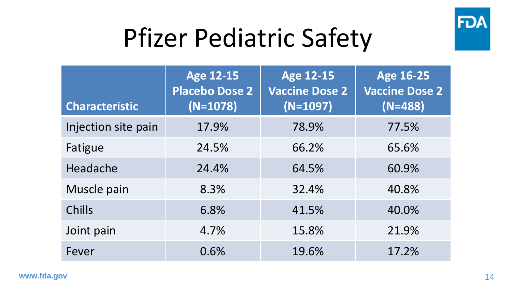

#### Pfizer Pediatric Safety

| <b>Characteristic</b> | <b>Age 12-15</b><br><b>Placebo Dose 2</b><br>$(N=1078)$ | <b>Age 12-15</b><br><b>Vaccine Dose 2</b><br>$(N=1097)$ | <b>Age 16-25</b><br><b>Vaccine Dose 2</b><br>$(N=488)$ |
|-----------------------|---------------------------------------------------------|---------------------------------------------------------|--------------------------------------------------------|
| Injection site pain   | 17.9%                                                   | 78.9%                                                   | 77.5%                                                  |
| Fatigue               | 24.5%                                                   | 66.2%                                                   | 65.6%                                                  |
| Headache              | 24.4%                                                   | 64.5%                                                   | 60.9%                                                  |
| Muscle pain           | 8.3%                                                    | 32.4%                                                   | 40.8%                                                  |
| Chills                | 6.8%                                                    | 41.5%                                                   | 40.0%                                                  |
| Joint pain            | 4.7%                                                    | 15.8%                                                   | 21.9%                                                  |
| Fever                 | 0.6%                                                    | 19.6%                                                   | 17.2%                                                  |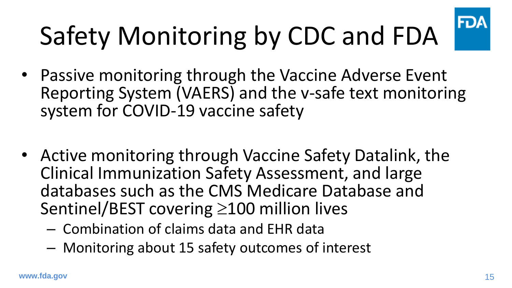# Safety Monitoring by CDC and FDA

- Passive monitoring through the Vaccine Adverse Event Reporting System (VAERS) and the v-safe text monitoring system for COVID-19 vaccine safety
- Active monitoring through Vaccine Safety Datalink, the Clinical Immunization Safety Assessment, and large databases such as the CMS Medicare Database and Sentinel/BEST covering  $\geq$ 100 million lives
	- Combination of claims data and EHR data
	- Monitoring about 15 safety outcomes of interest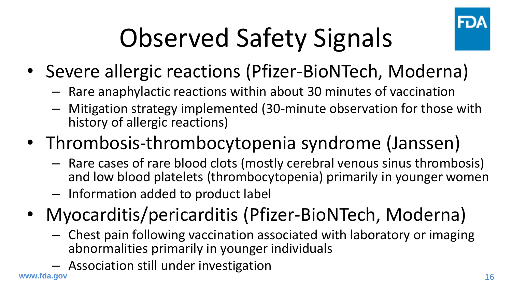

# Observed Safety Signals

- Severe allergic reactions (Pfizer-BioNTech, Moderna)
	- Rare anaphylactic reactions within about 30 minutes of vaccination
	- Mitigation strategy implemented (30-minute observation for those with history of allergic reactions)
- Thrombosis-thrombocytopenia syndrome (Janssen)
	- Rare cases of rare blood clots (mostly cerebral venous sinus thrombosis) and low blood platelets (thrombocytopenia) primarily in younger women
	- Information added to product label
- Myocarditis/pericarditis (Pfizer-BioNTech, Moderna)
	- Chest pain following vaccination associated with laboratory or imaging abnormalities primarily in younger individuals
	- Association still under investigation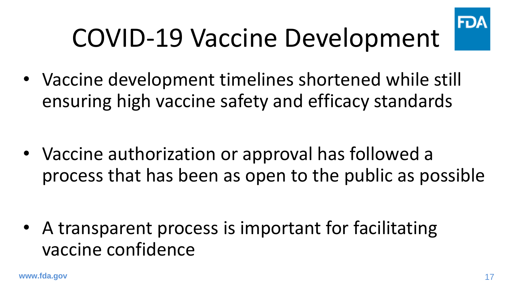

# COVID-19 Vaccine Development

• Vaccine development timelines shortened while still ensuring high vaccine safety and efficacy standards

• Vaccine authorization or approval has followed a process that has been as open to the public as possible

• A transparent process is important for facilitating vaccine confidence